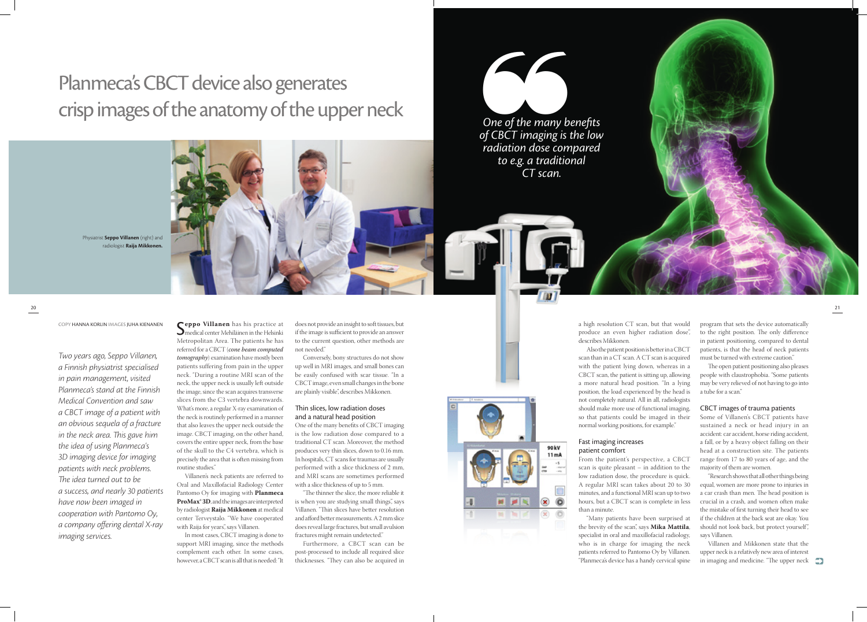S**eppo Villanen** has his practice at medical center Mehiläinen in the Helsinki Metropolitan Area. The patients he has referred for a CBCT (*cone beam computed tomography*) examination have mostly been patients suffering from pain in the upper neck. "During a routine MRI scan of the neck, the upper neck is usually left outside the image, since the scan acquires transverse slices from the C3 vertebra downwards. What's more, a regular X-ray examination of the neck is routinely performed in a manner that also leaves the upper neck outside the image. CBCT imaging, on the other hand, covers the entire upper neck, from the base of the skull to the C4 vertebra, which is precisely the area that is often missing from routine studies."

Villanen's neck patients are referred to Oral and Maxillofacial Radiology Center Pantomo Oy for imaging with **Planmeca ProMax® 3D**, and the images are interpreted by radiologist **Raija Mikkonen** at medical center Terveystalo. "We have cooperated with Raija for years", says Villanen.

In most cases, CBCT imaging is done to support MRI imaging, since the methods complement each other. In some cases, however, a CBCT scan is all that is needed: "It

does not provide an insight to soft tissues, but if the image is sufficient to provide an answer to the current question, other methods are not needed."

Conversely, bony structures do not show up well in MRI images, and small bones can be easily confused with scar tissue. "In a CBCT image, even small changes in the bone are plainly visible", describes Mikkonen.

### Thin slices, low radiation doses and a natural head position

One of the many benefits of CBCT imaging is the low radiation dose compared to a traditional CT scan. Moreover, the method produces very thin slices, down to 0.16 mm. In hospitals, CT scans for traumas are usually performed with a slice thickness of 2 mm, and MRI scans are sometimes performed with a slice thickness of up to 5 mm.

"The thinner the slice, the more reliable it is when you are studying small things", says Villanen. "Thin slices have better resolution and afford better measurements. A 2 mm slice does reveal large fractures, but small avulsion fractures might remain undetected."

Villanen and Mikkonen state that the upper neck is a relatively new area of interest in imaging and medicine. "The upper neck

20<br>20

Furthermore, a CBCT scan can be post-processed to include all required slice thicknesses. "They can also be acquired in



a high resolution CT scan, but that would produce an even higher radiation dose", describes Mikkonen.

Also the patient position is better in a CBCT scan than in a CT scan. A CT scan is acquired with the patient lying down, whereas in a CBCT scan, the patient is sitting up, allowing a more natural head position. "In a lying position, the load experienced by the head is not completely natural. All in all, radiologists should make more use of functional imaging, so that patients could be imaged in their normal working positions, for example."

#### Fast imaging increases patient comfort

From the patient's perspective, a CBCT scan is quite pleasant – in addition to the low radiation dose, the procedure is quick. A regular MRI scan takes about 20 to 30 minutes, and a functional MRI scan up to two hours, but a CBCT scan is complete in less than a minute.

"Many patients have been surprised at the brevity of the scan", says **Mika Mattila**, specialist in oral and maxillofacial radiology, who is in charge for imaging the neck patients referred to Pantomo Oy by Villanen. "Planmeca's device has a handy cervical spine



program that sets the device automatically to the right position. The only difference in patient positioning, compared to dental patients, is that the head of neck patients must be turned with extreme caution."

The open patient positioning also pleases people with claustrophobia. "Some patients may be very relieved of not having to go into a tube for a scan."

#### CBCT images of trauma patients

Some of Villanen's CBCT patients have sustained a neck or head injury in an accident: car accident, horse riding accident, a fall, or by a heavy object falling on their head at a construction site. The patients range from 17 to 80 years of age, and the majority of them are women.

"Research shows that all other things being equal, women are more prone to injuries in a car crash than men. The head position is crucial in a crash, and women often make the mistake of first turning their head to see if the children at the back seat are okay. You should not look back, but protect yourself", says Villanen.





Physiatrist **Seppo Villanen** (right) and radiologist **Raija Mikkonen.**

# Planmeca's CBCT device also generates crisp images of the anatomy of the upper neck

#### Copy Hanna korlin Images Juha Kienanen

*Two years ago, Seppo Villanen, a Finnish physiatrist specialised in pain management, visited Planmeca's stand at the Finnish Medical Convention and saw a CBCT image of a patient with an obvious sequela of a fracture in the neck area. This gave him the idea of using Planmeca's 3D imaging device for imaging patients with neck problems. The idea turned out to be a success, and nearly 30 patients have now been imaged in cooperation with Pantomo Oy, a company offering dental X-ray imaging services.*